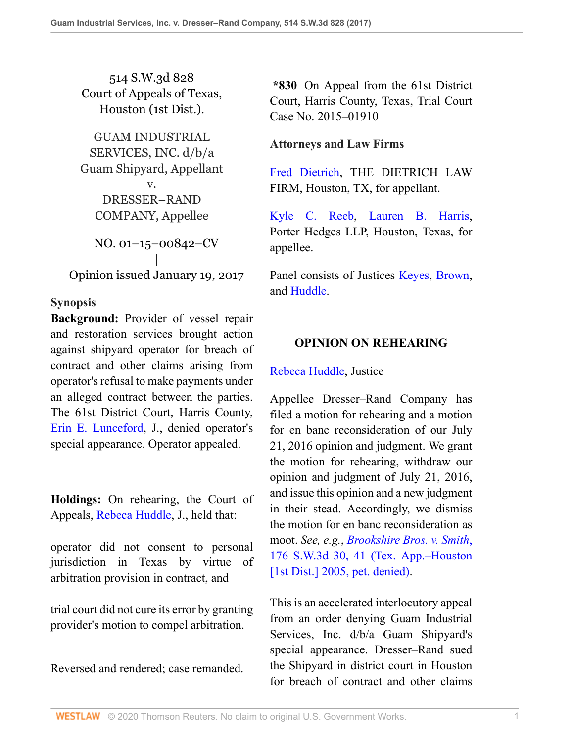514 S.W.3d 828 Court of Appeals of Texas, Houston (1st Dist.).

GUAM INDUSTRIAL SERVICES, INC. d/b/a Guam Shipyard, Appellant v. DRESSER–RAND COMPANY, Appellee NO. 01–15–00842–CV | Opinion issued January 19, 2017

# **Synopsis**

**Background:** Provider of vessel repair and restoration services brought action against shipyard operator for breach of contract and other claims arising from operator's refusal to make payments under an alleged contract between the parties. The 61st District Court, Harris County, [Erin E. Lunceford,](http://www.westlaw.com/Link/Document/FullText?findType=h&pubNum=176284&cite=0152607999&originatingDoc=I88106170dec411e6960ceb4fdef01e17&refType=RQ&originationContext=document&vr=3.0&rs=cblt1.0&transitionType=DocumentItem&contextData=(sc.UserEnteredCitation)) J., denied operator's special appearance. Operator appealed.

**Holdings:** On rehearing, the Court of Appeals, [Rebeca Huddle,](http://www.westlaw.com/Link/Document/FullText?findType=h&pubNum=176284&cite=0330201101&originatingDoc=I88106170dec411e6960ceb4fdef01e17&refType=RQ&originationContext=document&vr=3.0&rs=cblt1.0&transitionType=DocumentItem&contextData=(sc.UserEnteredCitation)) J., held that:

operator did not consent to personal jurisdiction in Texas by virtue of arbitration provision in contract, and

trial court did not cure its error by granting provider's motion to compel arbitration.

Reversed and rendered; case remanded.

**\*830** On Appeal from the 61st District Court, Harris County, Texas, Trial Court Case No. 2015–01910

# **Attorneys and Law Firms**

[Fred Dietrich](http://www.westlaw.com/Link/Document/FullText?findType=h&pubNum=176284&cite=0302315701&originatingDoc=I88106170dec411e6960ceb4fdef01e17&refType=RQ&originationContext=document&vr=3.0&rs=cblt1.0&transitionType=DocumentItem&contextData=(sc.UserEnteredCitation)), THE DIETRICH LAW FIRM, Houston, TX, for appellant.

[Kyle C. Reeb,](http://www.westlaw.com/Link/Document/FullText?findType=h&pubNum=176284&cite=0360317901&originatingDoc=I88106170dec411e6960ceb4fdef01e17&refType=RQ&originationContext=document&vr=3.0&rs=cblt1.0&transitionType=DocumentItem&contextData=(sc.UserEnteredCitation)) [Lauren B. Harris,](http://www.westlaw.com/Link/Document/FullText?findType=h&pubNum=176284&cite=0318061601&originatingDoc=I88106170dec411e6960ceb4fdef01e17&refType=RQ&originationContext=document&vr=3.0&rs=cblt1.0&transitionType=DocumentItem&contextData=(sc.UserEnteredCitation)) Porter Hedges LLP, Houston, Texas, for appellee.

Panel consists of Justices [Keyes](http://www.westlaw.com/Link/Document/FullText?findType=h&pubNum=176284&cite=0149375801&originatingDoc=I88106170dec411e6960ceb4fdef01e17&refType=RQ&originationContext=document&vr=3.0&rs=cblt1.0&transitionType=DocumentItem&contextData=(sc.UserEnteredCitation)), [Brown,](http://www.westlaw.com/Link/Document/FullText?findType=h&pubNum=176284&cite=0342438001&originatingDoc=I88106170dec411e6960ceb4fdef01e17&refType=RQ&originationContext=document&vr=3.0&rs=cblt1.0&transitionType=DocumentItem&contextData=(sc.UserEnteredCitation)) and [Huddle](http://www.westlaw.com/Link/Document/FullText?findType=h&pubNum=176284&cite=0330201101&originatingDoc=I88106170dec411e6960ceb4fdef01e17&refType=RQ&originationContext=document&vr=3.0&rs=cblt1.0&transitionType=DocumentItem&contextData=(sc.UserEnteredCitation)).

# **OPINION ON REHEARING**

## [Rebeca Huddle,](http://www.westlaw.com/Link/Document/FullText?findType=h&pubNum=176284&cite=0330201101&originatingDoc=I88106170dec411e6960ceb4fdef01e17&refType=RQ&originationContext=document&vr=3.0&rs=cblt1.0&transitionType=DocumentItem&contextData=(sc.UserEnteredCitation)) Justice

Appellee Dresser–Rand Company has filed a motion for rehearing and a motion for en banc reconsideration of our July 21, 2016 opinion and judgment. We grant the motion for rehearing, withdraw our opinion and judgment of July 21, 2016, and issue this opinion and a new judgment in their stead. Accordingly, we dismiss the motion for en banc reconsideration as moot. *See, e.g.*, *[Brookshire Bros. v. Smith](http://www.westlaw.com/Link/Document/FullText?findType=Y&serNum=2004467436&pubNum=0004644&originatingDoc=I88106170dec411e6960ceb4fdef01e17&refType=RP&fi=co_pp_sp_4644_41&originationContext=document&vr=3.0&rs=cblt1.0&transitionType=DocumentItem&contextData=(sc.UserEnteredCitation)#co_pp_sp_4644_41)*, [176 S.W.3d 30, 41 \(Tex. App.–Houston](http://www.westlaw.com/Link/Document/FullText?findType=Y&serNum=2004467436&pubNum=0004644&originatingDoc=I88106170dec411e6960ceb4fdef01e17&refType=RP&fi=co_pp_sp_4644_41&originationContext=document&vr=3.0&rs=cblt1.0&transitionType=DocumentItem&contextData=(sc.UserEnteredCitation)#co_pp_sp_4644_41) [\[1st Dist.\] 2005, pet. denied\)](http://www.westlaw.com/Link/Document/FullText?findType=Y&serNum=2004467436&pubNum=0004644&originatingDoc=I88106170dec411e6960ceb4fdef01e17&refType=RP&fi=co_pp_sp_4644_41&originationContext=document&vr=3.0&rs=cblt1.0&transitionType=DocumentItem&contextData=(sc.UserEnteredCitation)#co_pp_sp_4644_41).

This is an accelerated interlocutory appeal from an order denying Guam Industrial Services, Inc. d/b/a Guam Shipyard's special appearance. Dresser–Rand sued the Shipyard in district court in Houston for breach of contract and other claims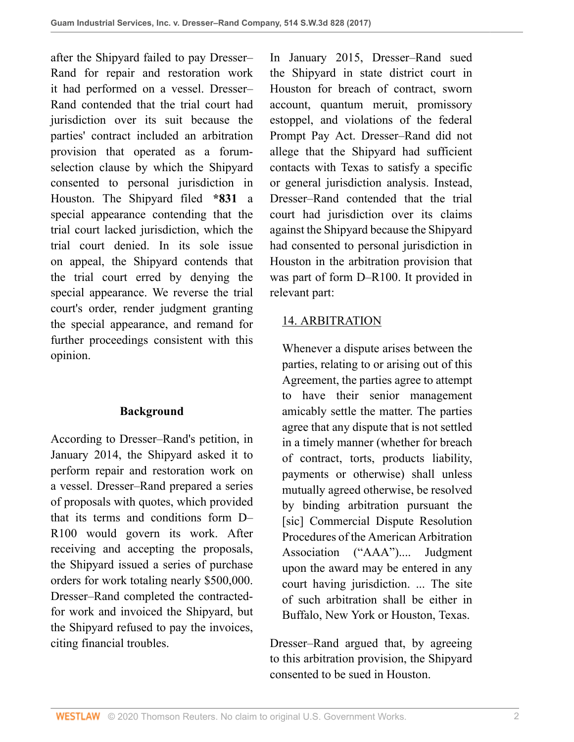after the Shipyard failed to pay Dresser– Rand for repair and restoration work it had performed on a vessel. Dresser– Rand contended that the trial court had jurisdiction over its suit because the parties' contract included an arbitration provision that operated as a forumselection clause by which the Shipyard consented to personal jurisdiction in Houston. The Shipyard filed **\*831** a special appearance contending that the trial court lacked jurisdiction, which the trial court denied. In its sole issue on appeal, the Shipyard contends that the trial court erred by denying the special appearance. We reverse the trial court's order, render judgment granting the special appearance, and remand for further proceedings consistent with this opinion.

## **Background**

According to Dresser–Rand's petition, in January 2014, the Shipyard asked it to perform repair and restoration work on a vessel. Dresser–Rand prepared a series of proposals with quotes, which provided that its terms and conditions form D– R100 would govern its work. After receiving and accepting the proposals, the Shipyard issued a series of purchase orders for work totaling nearly \$500,000. Dresser–Rand completed the contractedfor work and invoiced the Shipyard, but the Shipyard refused to pay the invoices, citing financial troubles.

In January 2015, Dresser–Rand sued the Shipyard in state district court in Houston for breach of contract, sworn account, quantum meruit, promissory estoppel, and violations of the federal Prompt Pay Act. Dresser–Rand did not allege that the Shipyard had sufficient contacts with Texas to satisfy a specific or general jurisdiction analysis. Instead, Dresser–Rand contended that the trial court had jurisdiction over its claims against the Shipyard because the Shipyard had consented to personal jurisdiction in Houston in the arbitration provision that was part of form D–R100. It provided in relevant part:

# 14. ARBITRATION

Whenever a dispute arises between the parties, relating to or arising out of this Agreement, the parties agree to attempt to have their senior management amicably settle the matter. The parties agree that any dispute that is not settled in a timely manner (whether for breach of contract, torts, products liability, payments or otherwise) shall unless mutually agreed otherwise, be resolved by binding arbitration pursuant the [sic] Commercial Dispute Resolution Procedures of the American Arbitration Association ("AAA").... Judgment upon the award may be entered in any court having jurisdiction. ... The site of such arbitration shall be either in Buffalo, New York or Houston, Texas.

Dresser–Rand argued that, by agreeing to this arbitration provision, the Shipyard consented to be sued in Houston.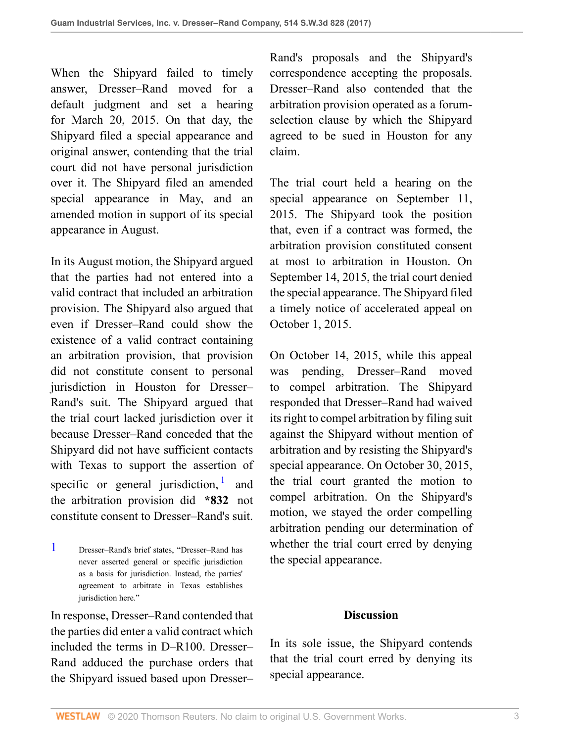When the Shipyard failed to timely answer, Dresser–Rand moved for a default judgment and set a hearing for March 20, 2015. On that day, the Shipyard filed a special appearance and original answer, contending that the trial court did not have personal jurisdiction over it. The Shipyard filed an amended special appearance in May, and an amended motion in support of its special appearance in August.

In its August motion, the Shipyard argued that the parties had not entered into a valid contract that included an arbitration provision. The Shipyard also argued that even if Dresser–Rand could show the existence of a valid contract containing an arbitration provision, that provision did not constitute consent to personal jurisdiction in Houston for Dresser– Rand's suit. The Shipyard argued that the trial court lacked jurisdiction over it because Dresser–Rand conceded that the Shipyard did not have sufficient contacts with Texas to support the assertion of specific or general jurisdiction,  $\frac{1}{2}$  $\frac{1}{2}$  $\frac{1}{2}$  and the arbitration provision did **\*832** not constitute consent to Dresser–Rand's suit.

<span id="page-2-0"></span>[1](#page-2-1) Dresser–Rand's brief states, "Dresser–Rand has never asserted general or specific jurisdiction as a basis for jurisdiction. Instead, the parties' agreement to arbitrate in Texas establishes jurisdiction here."

In response, Dresser–Rand contended that the parties did enter a valid contract which included the terms in D–R100. Dresser– Rand adduced the purchase orders that the Shipyard issued based upon Dresser–

Rand's proposals and the Shipyard's correspondence accepting the proposals. Dresser–Rand also contended that the arbitration provision operated as a forumselection clause by which the Shipyard agreed to be sued in Houston for any claim.

The trial court held a hearing on the special appearance on September 11, 2015. The Shipyard took the position that, even if a contract was formed, the arbitration provision constituted consent at most to arbitration in Houston. On September 14, 2015, the trial court denied the special appearance. The Shipyard filed a timely notice of accelerated appeal on October 1, 2015.

<span id="page-2-1"></span>On October 14, 2015, while this appeal was pending, Dresser–Rand moved to compel arbitration. The Shipyard responded that Dresser–Rand had waived its right to compel arbitration by filing suit against the Shipyard without mention of arbitration and by resisting the Shipyard's special appearance. On October 30, 2015, the trial court granted the motion to compel arbitration. On the Shipyard's motion, we stayed the order compelling arbitration pending our determination of whether the trial court erred by denying the special appearance.

## **Discussion**

In its sole issue, the Shipyard contends that the trial court erred by denying its special appearance.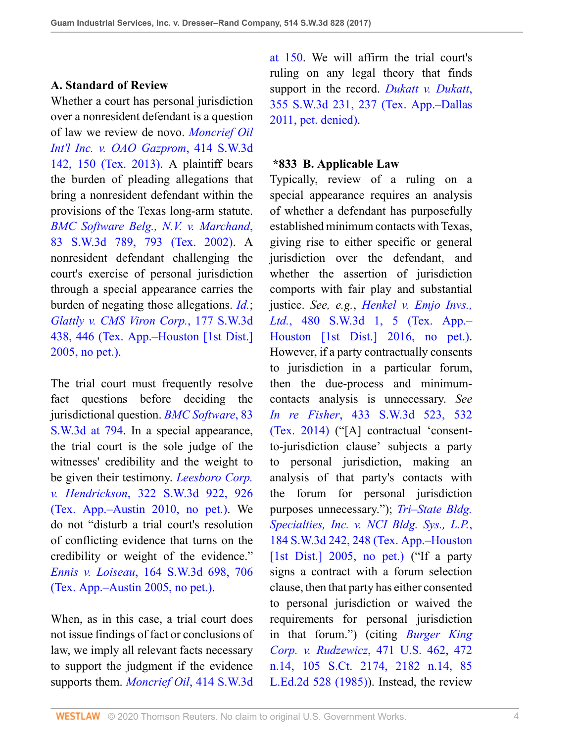## **A. Standard of Review**

Whether a court has personal jurisdiction over a nonresident defendant is a question of law we review de novo. *[Moncrief Oil](http://www.westlaw.com/Link/Document/FullText?findType=Y&serNum=2031428265&pubNum=0004644&originatingDoc=I88106170dec411e6960ceb4fdef01e17&refType=RP&fi=co_pp_sp_4644_150&originationContext=document&vr=3.0&rs=cblt1.0&transitionType=DocumentItem&contextData=(sc.UserEnteredCitation)#co_pp_sp_4644_150) [Int'l Inc. v. OAO Gazprom](http://www.westlaw.com/Link/Document/FullText?findType=Y&serNum=2031428265&pubNum=0004644&originatingDoc=I88106170dec411e6960ceb4fdef01e17&refType=RP&fi=co_pp_sp_4644_150&originationContext=document&vr=3.0&rs=cblt1.0&transitionType=DocumentItem&contextData=(sc.UserEnteredCitation)#co_pp_sp_4644_150)*, 414 S.W.3d [142, 150 \(Tex. 2013\).](http://www.westlaw.com/Link/Document/FullText?findType=Y&serNum=2031428265&pubNum=0004644&originatingDoc=I88106170dec411e6960ceb4fdef01e17&refType=RP&fi=co_pp_sp_4644_150&originationContext=document&vr=3.0&rs=cblt1.0&transitionType=DocumentItem&contextData=(sc.UserEnteredCitation)#co_pp_sp_4644_150) A plaintiff bears the burden of pleading allegations that bring a nonresident defendant within the provisions of the Texas long-arm statute. *[BMC Software Belg., N.V. v. Marchand](http://www.westlaw.com/Link/Document/FullText?findType=Y&serNum=2002399399&pubNum=0004644&originatingDoc=I88106170dec411e6960ceb4fdef01e17&refType=RP&fi=co_pp_sp_4644_793&originationContext=document&vr=3.0&rs=cblt1.0&transitionType=DocumentItem&contextData=(sc.UserEnteredCitation)#co_pp_sp_4644_793)*, [83 S.W.3d 789, 793 \(Tex. 2002\).](http://www.westlaw.com/Link/Document/FullText?findType=Y&serNum=2002399399&pubNum=0004644&originatingDoc=I88106170dec411e6960ceb4fdef01e17&refType=RP&fi=co_pp_sp_4644_793&originationContext=document&vr=3.0&rs=cblt1.0&transitionType=DocumentItem&contextData=(sc.UserEnteredCitation)#co_pp_sp_4644_793) A nonresident defendant challenging the court's exercise of personal jurisdiction through a special appearance carries the burden of negating those allegations. *[Id.](http://www.westlaw.com/Link/Document/FullText?findType=Y&serNum=2002399399&pubNum=0004644&originatingDoc=I88106170dec411e6960ceb4fdef01e17&refType=RP&originationContext=document&vr=3.0&rs=cblt1.0&transitionType=DocumentItem&contextData=(sc.UserEnteredCitation))*; *[Glattly v. CMS Viron Corp.](http://www.westlaw.com/Link/Document/FullText?findType=Y&serNum=2006586518&pubNum=0004644&originatingDoc=I88106170dec411e6960ceb4fdef01e17&refType=RP&fi=co_pp_sp_4644_446&originationContext=document&vr=3.0&rs=cblt1.0&transitionType=DocumentItem&contextData=(sc.UserEnteredCitation)#co_pp_sp_4644_446)*, 177 S.W.3d [438, 446 \(Tex. App.–Houston \[1st Dist.\]](http://www.westlaw.com/Link/Document/FullText?findType=Y&serNum=2006586518&pubNum=0004644&originatingDoc=I88106170dec411e6960ceb4fdef01e17&refType=RP&fi=co_pp_sp_4644_446&originationContext=document&vr=3.0&rs=cblt1.0&transitionType=DocumentItem&contextData=(sc.UserEnteredCitation)#co_pp_sp_4644_446) [2005, no pet.\)](http://www.westlaw.com/Link/Document/FullText?findType=Y&serNum=2006586518&pubNum=0004644&originatingDoc=I88106170dec411e6960ceb4fdef01e17&refType=RP&fi=co_pp_sp_4644_446&originationContext=document&vr=3.0&rs=cblt1.0&transitionType=DocumentItem&contextData=(sc.UserEnteredCitation)#co_pp_sp_4644_446).

The trial court must frequently resolve fact questions before deciding the jurisdictional question. *[BMC Software](http://www.westlaw.com/Link/Document/FullText?findType=Y&serNum=2002399399&pubNum=0004644&originatingDoc=I88106170dec411e6960ceb4fdef01e17&refType=RP&fi=co_pp_sp_4644_794&originationContext=document&vr=3.0&rs=cblt1.0&transitionType=DocumentItem&contextData=(sc.UserEnteredCitation)#co_pp_sp_4644_794)*, 83 [S.W.3d at 794](http://www.westlaw.com/Link/Document/FullText?findType=Y&serNum=2002399399&pubNum=0004644&originatingDoc=I88106170dec411e6960ceb4fdef01e17&refType=RP&fi=co_pp_sp_4644_794&originationContext=document&vr=3.0&rs=cblt1.0&transitionType=DocumentItem&contextData=(sc.UserEnteredCitation)#co_pp_sp_4644_794). In a special appearance, the trial court is the sole judge of the witnesses' credibility and the weight to be given their testimony. *[Leesboro Corp.](http://www.westlaw.com/Link/Document/FullText?findType=Y&serNum=2023208621&pubNum=0004644&originatingDoc=I88106170dec411e6960ceb4fdef01e17&refType=RP&fi=co_pp_sp_4644_926&originationContext=document&vr=3.0&rs=cblt1.0&transitionType=DocumentItem&contextData=(sc.UserEnteredCitation)#co_pp_sp_4644_926) v. Hendrickson*[, 322 S.W.3d 922, 926](http://www.westlaw.com/Link/Document/FullText?findType=Y&serNum=2023208621&pubNum=0004644&originatingDoc=I88106170dec411e6960ceb4fdef01e17&refType=RP&fi=co_pp_sp_4644_926&originationContext=document&vr=3.0&rs=cblt1.0&transitionType=DocumentItem&contextData=(sc.UserEnteredCitation)#co_pp_sp_4644_926) [\(Tex. App.–Austin 2010, no pet.\)](http://www.westlaw.com/Link/Document/FullText?findType=Y&serNum=2023208621&pubNum=0004644&originatingDoc=I88106170dec411e6960ceb4fdef01e17&refType=RP&fi=co_pp_sp_4644_926&originationContext=document&vr=3.0&rs=cblt1.0&transitionType=DocumentItem&contextData=(sc.UserEnteredCitation)#co_pp_sp_4644_926). We do not "disturb a trial court's resolution of conflicting evidence that turns on the credibility or weight of the evidence." *Ennis v. Loiseau*[, 164 S.W.3d 698, 706](http://www.westlaw.com/Link/Document/FullText?findType=Y&serNum=2006554356&pubNum=0004644&originatingDoc=I88106170dec411e6960ceb4fdef01e17&refType=RP&fi=co_pp_sp_4644_706&originationContext=document&vr=3.0&rs=cblt1.0&transitionType=DocumentItem&contextData=(sc.UserEnteredCitation)#co_pp_sp_4644_706) [\(Tex. App.–Austin 2005, no pet.\)](http://www.westlaw.com/Link/Document/FullText?findType=Y&serNum=2006554356&pubNum=0004644&originatingDoc=I88106170dec411e6960ceb4fdef01e17&refType=RP&fi=co_pp_sp_4644_706&originationContext=document&vr=3.0&rs=cblt1.0&transitionType=DocumentItem&contextData=(sc.UserEnteredCitation)#co_pp_sp_4644_706).

When, as in this case, a trial court does not issue findings of fact or conclusions of law, we imply all relevant facts necessary to support the judgment if the evidence supports them. *[Moncrief Oil](http://www.westlaw.com/Link/Document/FullText?findType=Y&serNum=2031428265&pubNum=0004644&originatingDoc=I88106170dec411e6960ceb4fdef01e17&refType=RP&fi=co_pp_sp_4644_150&originationContext=document&vr=3.0&rs=cblt1.0&transitionType=DocumentItem&contextData=(sc.UserEnteredCitation)#co_pp_sp_4644_150)*, 414 S.W.3d

[at 150](http://www.westlaw.com/Link/Document/FullText?findType=Y&serNum=2031428265&pubNum=0004644&originatingDoc=I88106170dec411e6960ceb4fdef01e17&refType=RP&fi=co_pp_sp_4644_150&originationContext=document&vr=3.0&rs=cblt1.0&transitionType=DocumentItem&contextData=(sc.UserEnteredCitation)#co_pp_sp_4644_150). We will affirm the trial court's ruling on any legal theory that finds support in the record. *[Dukatt v. Dukatt](http://www.westlaw.com/Link/Document/FullText?findType=Y&serNum=2025377367&pubNum=0004644&originatingDoc=I88106170dec411e6960ceb4fdef01e17&refType=RP&fi=co_pp_sp_4644_237&originationContext=document&vr=3.0&rs=cblt1.0&transitionType=DocumentItem&contextData=(sc.UserEnteredCitation)#co_pp_sp_4644_237)*, [355 S.W.3d 231, 237 \(Tex. App.–Dallas](http://www.westlaw.com/Link/Document/FullText?findType=Y&serNum=2025377367&pubNum=0004644&originatingDoc=I88106170dec411e6960ceb4fdef01e17&refType=RP&fi=co_pp_sp_4644_237&originationContext=document&vr=3.0&rs=cblt1.0&transitionType=DocumentItem&contextData=(sc.UserEnteredCitation)#co_pp_sp_4644_237) [2011, pet. denied\)](http://www.westlaw.com/Link/Document/FullText?findType=Y&serNum=2025377367&pubNum=0004644&originatingDoc=I88106170dec411e6960ceb4fdef01e17&refType=RP&fi=co_pp_sp_4644_237&originationContext=document&vr=3.0&rs=cblt1.0&transitionType=DocumentItem&contextData=(sc.UserEnteredCitation)#co_pp_sp_4644_237).

#### **\*833 B. Applicable Law**

Typically, review of a ruling on a special appearance requires an analysis of whether a defendant has purposefully established minimum contacts with Texas, giving rise to either specific or general jurisdiction over the defendant, and whether the assertion of jurisdiction comports with fair play and substantial justice. *See, e.g.*, *[Henkel v. Emjo Invs.,](http://www.westlaw.com/Link/Document/FullText?findType=Y&serNum=2036983251&pubNum=0004644&originatingDoc=I88106170dec411e6960ceb4fdef01e17&refType=RP&fi=co_pp_sp_4644_5&originationContext=document&vr=3.0&rs=cblt1.0&transitionType=DocumentItem&contextData=(sc.UserEnteredCitation)#co_pp_sp_4644_5) Ltd.*[, 480 S.W.3d 1, 5 \(Tex. App.–](http://www.westlaw.com/Link/Document/FullText?findType=Y&serNum=2036983251&pubNum=0004644&originatingDoc=I88106170dec411e6960ceb4fdef01e17&refType=RP&fi=co_pp_sp_4644_5&originationContext=document&vr=3.0&rs=cblt1.0&transitionType=DocumentItem&contextData=(sc.UserEnteredCitation)#co_pp_sp_4644_5) [Houston \[1st Dist.\] 2016, no pet.\).](http://www.westlaw.com/Link/Document/FullText?findType=Y&serNum=2036983251&pubNum=0004644&originatingDoc=I88106170dec411e6960ceb4fdef01e17&refType=RP&fi=co_pp_sp_4644_5&originationContext=document&vr=3.0&rs=cblt1.0&transitionType=DocumentItem&contextData=(sc.UserEnteredCitation)#co_pp_sp_4644_5) However, if a party contractually consents to jurisdiction in a particular forum, then the due-process and minimumcontacts analysis is unnecessary. *See In re Fisher*[, 433 S.W.3d 523, 532](http://www.westlaw.com/Link/Document/FullText?findType=Y&serNum=2032813228&pubNum=0004644&originatingDoc=I88106170dec411e6960ceb4fdef01e17&refType=RP&fi=co_pp_sp_4644_532&originationContext=document&vr=3.0&rs=cblt1.0&transitionType=DocumentItem&contextData=(sc.UserEnteredCitation)#co_pp_sp_4644_532) [\(Tex. 2014\)](http://www.westlaw.com/Link/Document/FullText?findType=Y&serNum=2032813228&pubNum=0004644&originatingDoc=I88106170dec411e6960ceb4fdef01e17&refType=RP&fi=co_pp_sp_4644_532&originationContext=document&vr=3.0&rs=cblt1.0&transitionType=DocumentItem&contextData=(sc.UserEnteredCitation)#co_pp_sp_4644_532) ("[A] contractual 'consentto-jurisdiction clause' subjects a party to personal jurisdiction, making an analysis of that party's contacts with the forum for personal jurisdiction purposes unnecessary."); *[Tri–State Bldg.](http://www.westlaw.com/Link/Document/FullText?findType=Y&serNum=2007435547&pubNum=0004644&originatingDoc=I88106170dec411e6960ceb4fdef01e17&refType=RP&fi=co_pp_sp_4644_248&originationContext=document&vr=3.0&rs=cblt1.0&transitionType=DocumentItem&contextData=(sc.UserEnteredCitation)#co_pp_sp_4644_248) [Specialties, Inc. v. NCI Bldg. Sys., L.P.](http://www.westlaw.com/Link/Document/FullText?findType=Y&serNum=2007435547&pubNum=0004644&originatingDoc=I88106170dec411e6960ceb4fdef01e17&refType=RP&fi=co_pp_sp_4644_248&originationContext=document&vr=3.0&rs=cblt1.0&transitionType=DocumentItem&contextData=(sc.UserEnteredCitation)#co_pp_sp_4644_248)*, [184 S.W.3d 242, 248 \(Tex. App.–Houston](http://www.westlaw.com/Link/Document/FullText?findType=Y&serNum=2007435547&pubNum=0004644&originatingDoc=I88106170dec411e6960ceb4fdef01e17&refType=RP&fi=co_pp_sp_4644_248&originationContext=document&vr=3.0&rs=cblt1.0&transitionType=DocumentItem&contextData=(sc.UserEnteredCitation)#co_pp_sp_4644_248) [\[1st Dist.\] 2005, no pet.\)](http://www.westlaw.com/Link/Document/FullText?findType=Y&serNum=2007435547&pubNum=0004644&originatingDoc=I88106170dec411e6960ceb4fdef01e17&refType=RP&fi=co_pp_sp_4644_248&originationContext=document&vr=3.0&rs=cblt1.0&transitionType=DocumentItem&contextData=(sc.UserEnteredCitation)#co_pp_sp_4644_248) ("If a party" signs a contract with a forum selection clause, then that party has either consented to personal jurisdiction or waived the requirements for personal jurisdiction in that forum.") (citing *[Burger King](http://www.westlaw.com/Link/Document/FullText?findType=Y&serNum=1985125841&pubNum=0000708&originatingDoc=I88106170dec411e6960ceb4fdef01e17&refType=RP&fi=co_pp_sp_708_2182&originationContext=document&vr=3.0&rs=cblt1.0&transitionType=DocumentItem&contextData=(sc.UserEnteredCitation)#co_pp_sp_708_2182) Corp. v. Rudzewicz*[, 471 U.S. 462, 472](http://www.westlaw.com/Link/Document/FullText?findType=Y&serNum=1985125841&pubNum=0000708&originatingDoc=I88106170dec411e6960ceb4fdef01e17&refType=RP&fi=co_pp_sp_708_2182&originationContext=document&vr=3.0&rs=cblt1.0&transitionType=DocumentItem&contextData=(sc.UserEnteredCitation)#co_pp_sp_708_2182) [n.14, 105 S.Ct. 2174, 2182 n.14, 85](http://www.westlaw.com/Link/Document/FullText?findType=Y&serNum=1985125841&pubNum=0000708&originatingDoc=I88106170dec411e6960ceb4fdef01e17&refType=RP&fi=co_pp_sp_708_2182&originationContext=document&vr=3.0&rs=cblt1.0&transitionType=DocumentItem&contextData=(sc.UserEnteredCitation)#co_pp_sp_708_2182) [L.Ed.2d 528 \(1985\)](http://www.westlaw.com/Link/Document/FullText?findType=Y&serNum=1985125841&pubNum=0000708&originatingDoc=I88106170dec411e6960ceb4fdef01e17&refType=RP&fi=co_pp_sp_708_2182&originationContext=document&vr=3.0&rs=cblt1.0&transitionType=DocumentItem&contextData=(sc.UserEnteredCitation)#co_pp_sp_708_2182)). Instead, the review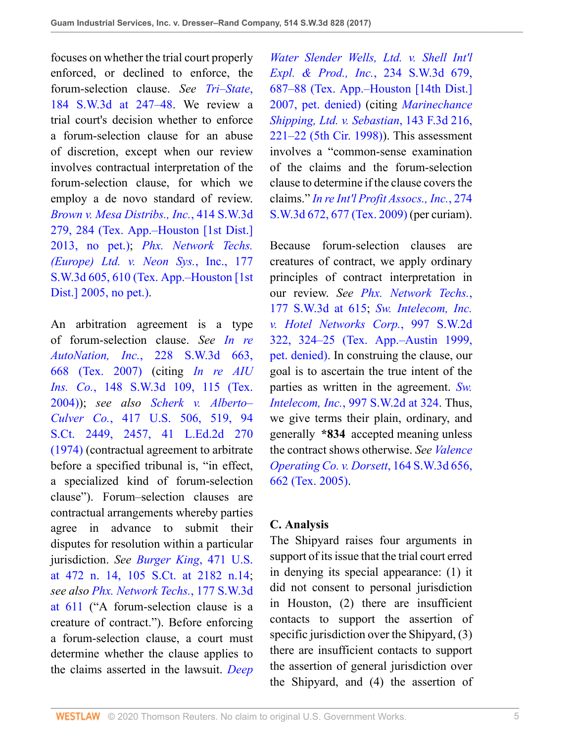focuses on whether the trial court properly enforced, or declined to enforce, the forum-selection clause. *See [Tri–State](http://www.westlaw.com/Link/Document/FullText?findType=Y&serNum=2007435547&pubNum=0004644&originatingDoc=I88106170dec411e6960ceb4fdef01e17&refType=RP&fi=co_pp_sp_4644_247&originationContext=document&vr=3.0&rs=cblt1.0&transitionType=DocumentItem&contextData=(sc.UserEnteredCitation)#co_pp_sp_4644_247)*, [184 S.W.3d at 247–48](http://www.westlaw.com/Link/Document/FullText?findType=Y&serNum=2007435547&pubNum=0004644&originatingDoc=I88106170dec411e6960ceb4fdef01e17&refType=RP&fi=co_pp_sp_4644_247&originationContext=document&vr=3.0&rs=cblt1.0&transitionType=DocumentItem&contextData=(sc.UserEnteredCitation)#co_pp_sp_4644_247). We review a trial court's decision whether to enforce a forum-selection clause for an abuse of discretion, except when our review involves contractual interpretation of the forum-selection clause, for which we employ a de novo standard of review. *[Brown v. Mesa Distribs., Inc.](http://www.westlaw.com/Link/Document/FullText?findType=Y&serNum=2031199484&pubNum=0004644&originatingDoc=I88106170dec411e6960ceb4fdef01e17&refType=RP&fi=co_pp_sp_4644_284&originationContext=document&vr=3.0&rs=cblt1.0&transitionType=DocumentItem&contextData=(sc.UserEnteredCitation)#co_pp_sp_4644_284)*, 414 S.W.3d [279, 284 \(Tex. App.–Houston \[1st Dist.\]](http://www.westlaw.com/Link/Document/FullText?findType=Y&serNum=2031199484&pubNum=0004644&originatingDoc=I88106170dec411e6960ceb4fdef01e17&refType=RP&fi=co_pp_sp_4644_284&originationContext=document&vr=3.0&rs=cblt1.0&transitionType=DocumentItem&contextData=(sc.UserEnteredCitation)#co_pp_sp_4644_284) [2013, no pet.\)](http://www.westlaw.com/Link/Document/FullText?findType=Y&serNum=2031199484&pubNum=0004644&originatingDoc=I88106170dec411e6960ceb4fdef01e17&refType=RP&fi=co_pp_sp_4644_284&originationContext=document&vr=3.0&rs=cblt1.0&transitionType=DocumentItem&contextData=(sc.UserEnteredCitation)#co_pp_sp_4644_284); *[Phx. Network Techs.](http://www.westlaw.com/Link/Document/FullText?findType=Y&serNum=2007184987&pubNum=0004644&originatingDoc=I88106170dec411e6960ceb4fdef01e17&refType=RP&fi=co_pp_sp_4644_610&originationContext=document&vr=3.0&rs=cblt1.0&transitionType=DocumentItem&contextData=(sc.UserEnteredCitation)#co_pp_sp_4644_610) [\(Europe\) Ltd. v.](http://www.westlaw.com/Link/Document/FullText?findType=Y&serNum=2007184987&pubNum=0004644&originatingDoc=I88106170dec411e6960ceb4fdef01e17&refType=RP&fi=co_pp_sp_4644_610&originationContext=document&vr=3.0&rs=cblt1.0&transitionType=DocumentItem&contextData=(sc.UserEnteredCitation)#co_pp_sp_4644_610) Neon Sys.*, Inc., 177 [S.W.3d 605, 610 \(Tex. App.–Houston \[1st](http://www.westlaw.com/Link/Document/FullText?findType=Y&serNum=2007184987&pubNum=0004644&originatingDoc=I88106170dec411e6960ceb4fdef01e17&refType=RP&fi=co_pp_sp_4644_610&originationContext=document&vr=3.0&rs=cblt1.0&transitionType=DocumentItem&contextData=(sc.UserEnteredCitation)#co_pp_sp_4644_610) [Dist.\] 2005, no pet.\).](http://www.westlaw.com/Link/Document/FullText?findType=Y&serNum=2007184987&pubNum=0004644&originatingDoc=I88106170dec411e6960ceb4fdef01e17&refType=RP&fi=co_pp_sp_4644_610&originationContext=document&vr=3.0&rs=cblt1.0&transitionType=DocumentItem&contextData=(sc.UserEnteredCitation)#co_pp_sp_4644_610)

An arbitration agreement is a type of forum-selection clause. *See [In re](http://www.westlaw.com/Link/Document/FullText?findType=Y&serNum=2012580152&pubNum=0004644&originatingDoc=I88106170dec411e6960ceb4fdef01e17&refType=RP&fi=co_pp_sp_4644_668&originationContext=document&vr=3.0&rs=cblt1.0&transitionType=DocumentItem&contextData=(sc.UserEnteredCitation)#co_pp_sp_4644_668) AutoNation, Inc.*[, 228 S.W.3d 663,](http://www.westlaw.com/Link/Document/FullText?findType=Y&serNum=2012580152&pubNum=0004644&originatingDoc=I88106170dec411e6960ceb4fdef01e17&refType=RP&fi=co_pp_sp_4644_668&originationContext=document&vr=3.0&rs=cblt1.0&transitionType=DocumentItem&contextData=(sc.UserEnteredCitation)#co_pp_sp_4644_668) [668 \(Tex. 2007\)](http://www.westlaw.com/Link/Document/FullText?findType=Y&serNum=2012580152&pubNum=0004644&originatingDoc=I88106170dec411e6960ceb4fdef01e17&refType=RP&fi=co_pp_sp_4644_668&originationContext=document&vr=3.0&rs=cblt1.0&transitionType=DocumentItem&contextData=(sc.UserEnteredCitation)#co_pp_sp_4644_668) (citing *[In re AIU](http://www.westlaw.com/Link/Document/FullText?findType=Y&serNum=2004994331&pubNum=0004644&originatingDoc=I88106170dec411e6960ceb4fdef01e17&refType=RP&fi=co_pp_sp_4644_115&originationContext=document&vr=3.0&rs=cblt1.0&transitionType=DocumentItem&contextData=(sc.UserEnteredCitation)#co_pp_sp_4644_115) Ins. Co.*[, 148 S.W.3d 109, 115 \(Tex.](http://www.westlaw.com/Link/Document/FullText?findType=Y&serNum=2004994331&pubNum=0004644&originatingDoc=I88106170dec411e6960ceb4fdef01e17&refType=RP&fi=co_pp_sp_4644_115&originationContext=document&vr=3.0&rs=cblt1.0&transitionType=DocumentItem&contextData=(sc.UserEnteredCitation)#co_pp_sp_4644_115) [2004\)](http://www.westlaw.com/Link/Document/FullText?findType=Y&serNum=2004994331&pubNum=0004644&originatingDoc=I88106170dec411e6960ceb4fdef01e17&refType=RP&fi=co_pp_sp_4644_115&originationContext=document&vr=3.0&rs=cblt1.0&transitionType=DocumentItem&contextData=(sc.UserEnteredCitation)#co_pp_sp_4644_115)); *see also [Scherk v. Alberto–](http://www.westlaw.com/Link/Document/FullText?findType=Y&serNum=1974127217&pubNum=0000708&originatingDoc=I88106170dec411e6960ceb4fdef01e17&refType=RP&fi=co_pp_sp_708_2457&originationContext=document&vr=3.0&rs=cblt1.0&transitionType=DocumentItem&contextData=(sc.UserEnteredCitation)#co_pp_sp_708_2457) Culver Co.*[, 417 U.S. 506, 519, 94](http://www.westlaw.com/Link/Document/FullText?findType=Y&serNum=1974127217&pubNum=0000708&originatingDoc=I88106170dec411e6960ceb4fdef01e17&refType=RP&fi=co_pp_sp_708_2457&originationContext=document&vr=3.0&rs=cblt1.0&transitionType=DocumentItem&contextData=(sc.UserEnteredCitation)#co_pp_sp_708_2457) [S.Ct. 2449, 2457, 41 L.Ed.2d 270](http://www.westlaw.com/Link/Document/FullText?findType=Y&serNum=1974127217&pubNum=0000708&originatingDoc=I88106170dec411e6960ceb4fdef01e17&refType=RP&fi=co_pp_sp_708_2457&originationContext=document&vr=3.0&rs=cblt1.0&transitionType=DocumentItem&contextData=(sc.UserEnteredCitation)#co_pp_sp_708_2457) [\(1974\)](http://www.westlaw.com/Link/Document/FullText?findType=Y&serNum=1974127217&pubNum=0000708&originatingDoc=I88106170dec411e6960ceb4fdef01e17&refType=RP&fi=co_pp_sp_708_2457&originationContext=document&vr=3.0&rs=cblt1.0&transitionType=DocumentItem&contextData=(sc.UserEnteredCitation)#co_pp_sp_708_2457) (contractual agreement to arbitrate before a specified tribunal is, "in effect, a specialized kind of forum-selection clause"). Forum–selection clauses are contractual arrangements whereby parties agree in advance to submit their disputes for resolution within a particular jurisdiction. *See [Burger King](http://www.westlaw.com/Link/Document/FullText?findType=Y&serNum=1985125841&pubNum=0000708&originatingDoc=I88106170dec411e6960ceb4fdef01e17&refType=RP&fi=co_pp_sp_708_2182&originationContext=document&vr=3.0&rs=cblt1.0&transitionType=DocumentItem&contextData=(sc.UserEnteredCitation)#co_pp_sp_708_2182)*, 471 U.S. [at 472 n. 14, 105 S.Ct. at 2182 n.14](http://www.westlaw.com/Link/Document/FullText?findType=Y&serNum=1985125841&pubNum=0000708&originatingDoc=I88106170dec411e6960ceb4fdef01e17&refType=RP&fi=co_pp_sp_708_2182&originationContext=document&vr=3.0&rs=cblt1.0&transitionType=DocumentItem&contextData=(sc.UserEnteredCitation)#co_pp_sp_708_2182); *see also [Phx. Network Techs.](http://www.westlaw.com/Link/Document/FullText?findType=Y&serNum=2007184987&pubNum=0004644&originatingDoc=I88106170dec411e6960ceb4fdef01e17&refType=RP&fi=co_pp_sp_4644_611&originationContext=document&vr=3.0&rs=cblt1.0&transitionType=DocumentItem&contextData=(sc.UserEnteredCitation)#co_pp_sp_4644_611)*, 177 S.W.3d [at 611](http://www.westlaw.com/Link/Document/FullText?findType=Y&serNum=2007184987&pubNum=0004644&originatingDoc=I88106170dec411e6960ceb4fdef01e17&refType=RP&fi=co_pp_sp_4644_611&originationContext=document&vr=3.0&rs=cblt1.0&transitionType=DocumentItem&contextData=(sc.UserEnteredCitation)#co_pp_sp_4644_611) ("A forum-selection clause is a creature of contract."). Before enforcing a forum-selection clause, a court must determine whether the clause applies to the claims asserted in the lawsuit. *[Deep](http://www.westlaw.com/Link/Document/FullText?findType=Y&serNum=2012504409&pubNum=0004644&originatingDoc=I88106170dec411e6960ceb4fdef01e17&refType=RP&fi=co_pp_sp_4644_687&originationContext=document&vr=3.0&rs=cblt1.0&transitionType=DocumentItem&contextData=(sc.UserEnteredCitation)#co_pp_sp_4644_687)*

*[Water Slender Wells, Ltd. v. Shell Int'l](http://www.westlaw.com/Link/Document/FullText?findType=Y&serNum=2012504409&pubNum=0004644&originatingDoc=I88106170dec411e6960ceb4fdef01e17&refType=RP&fi=co_pp_sp_4644_687&originationContext=document&vr=3.0&rs=cblt1.0&transitionType=DocumentItem&contextData=(sc.UserEnteredCitation)#co_pp_sp_4644_687) [Expl. & Prod., Inc.](http://www.westlaw.com/Link/Document/FullText?findType=Y&serNum=2012504409&pubNum=0004644&originatingDoc=I88106170dec411e6960ceb4fdef01e17&refType=RP&fi=co_pp_sp_4644_687&originationContext=document&vr=3.0&rs=cblt1.0&transitionType=DocumentItem&contextData=(sc.UserEnteredCitation)#co_pp_sp_4644_687)*, 234 S.W.3d 679, [687–88 \(Tex. App.–Houston \[14th Dist.\]](http://www.westlaw.com/Link/Document/FullText?findType=Y&serNum=2012504409&pubNum=0004644&originatingDoc=I88106170dec411e6960ceb4fdef01e17&refType=RP&fi=co_pp_sp_4644_687&originationContext=document&vr=3.0&rs=cblt1.0&transitionType=DocumentItem&contextData=(sc.UserEnteredCitation)#co_pp_sp_4644_687) [2007, pet. denied\)](http://www.westlaw.com/Link/Document/FullText?findType=Y&serNum=2012504409&pubNum=0004644&originatingDoc=I88106170dec411e6960ceb4fdef01e17&refType=RP&fi=co_pp_sp_4644_687&originationContext=document&vr=3.0&rs=cblt1.0&transitionType=DocumentItem&contextData=(sc.UserEnteredCitation)#co_pp_sp_4644_687) (citing *[Marinechance](http://www.westlaw.com/Link/Document/FullText?findType=Y&serNum=1998121707&pubNum=0000506&originatingDoc=I88106170dec411e6960ceb4fdef01e17&refType=RP&fi=co_pp_sp_506_221&originationContext=document&vr=3.0&rs=cblt1.0&transitionType=DocumentItem&contextData=(sc.UserEnteredCitation)#co_pp_sp_506_221) [Shipping, Ltd. v. Sebastian](http://www.westlaw.com/Link/Document/FullText?findType=Y&serNum=1998121707&pubNum=0000506&originatingDoc=I88106170dec411e6960ceb4fdef01e17&refType=RP&fi=co_pp_sp_506_221&originationContext=document&vr=3.0&rs=cblt1.0&transitionType=DocumentItem&contextData=(sc.UserEnteredCitation)#co_pp_sp_506_221)*, 143 F.3d 216, [221–22 \(5th Cir. 1998\)](http://www.westlaw.com/Link/Document/FullText?findType=Y&serNum=1998121707&pubNum=0000506&originatingDoc=I88106170dec411e6960ceb4fdef01e17&refType=RP&fi=co_pp_sp_506_221&originationContext=document&vr=3.0&rs=cblt1.0&transitionType=DocumentItem&contextData=(sc.UserEnteredCitation)#co_pp_sp_506_221)). This assessment involves a "common-sense examination of the claims and the forum-selection clause to determine if the clause covers the claims." *In re [Int'l Profit Assocs., Inc.](http://www.westlaw.com/Link/Document/FullText?findType=Y&serNum=2017853544&pubNum=0004644&originatingDoc=I88106170dec411e6960ceb4fdef01e17&refType=RP&fi=co_pp_sp_4644_677&originationContext=document&vr=3.0&rs=cblt1.0&transitionType=DocumentItem&contextData=(sc.UserEnteredCitation)#co_pp_sp_4644_677)*, 274 [S.W.3d 672, 677 \(Tex. 2009\)](http://www.westlaw.com/Link/Document/FullText?findType=Y&serNum=2017853544&pubNum=0004644&originatingDoc=I88106170dec411e6960ceb4fdef01e17&refType=RP&fi=co_pp_sp_4644_677&originationContext=document&vr=3.0&rs=cblt1.0&transitionType=DocumentItem&contextData=(sc.UserEnteredCitation)#co_pp_sp_4644_677) (per curiam).

Because forum-selection clauses are creatures of contract, we apply ordinary principles of contract interpretation in our review. *See [Phx. Network Techs.](http://www.westlaw.com/Link/Document/FullText?findType=Y&serNum=2007184987&pubNum=0004644&originatingDoc=I88106170dec411e6960ceb4fdef01e17&refType=RP&fi=co_pp_sp_4644_615&originationContext=document&vr=3.0&rs=cblt1.0&transitionType=DocumentItem&contextData=(sc.UserEnteredCitation)#co_pp_sp_4644_615)*, [177 S.W.3d at 615](http://www.westlaw.com/Link/Document/FullText?findType=Y&serNum=2007184987&pubNum=0004644&originatingDoc=I88106170dec411e6960ceb4fdef01e17&refType=RP&fi=co_pp_sp_4644_615&originationContext=document&vr=3.0&rs=cblt1.0&transitionType=DocumentItem&contextData=(sc.UserEnteredCitation)#co_pp_sp_4644_615); *[Sw. Intelecom, Inc.](http://www.westlaw.com/Link/Document/FullText?findType=Y&serNum=1999165322&pubNum=0000713&originatingDoc=I88106170dec411e6960ceb4fdef01e17&refType=RP&fi=co_pp_sp_713_324&originationContext=document&vr=3.0&rs=cblt1.0&transitionType=DocumentItem&contextData=(sc.UserEnteredCitation)#co_pp_sp_713_324) [v. Hotel Networks Corp.](http://www.westlaw.com/Link/Document/FullText?findType=Y&serNum=1999165322&pubNum=0000713&originatingDoc=I88106170dec411e6960ceb4fdef01e17&refType=RP&fi=co_pp_sp_713_324&originationContext=document&vr=3.0&rs=cblt1.0&transitionType=DocumentItem&contextData=(sc.UserEnteredCitation)#co_pp_sp_713_324)*, 997 S.W.2d [322, 324–25 \(Tex. App.–Austin 1999,](http://www.westlaw.com/Link/Document/FullText?findType=Y&serNum=1999165322&pubNum=0000713&originatingDoc=I88106170dec411e6960ceb4fdef01e17&refType=RP&fi=co_pp_sp_713_324&originationContext=document&vr=3.0&rs=cblt1.0&transitionType=DocumentItem&contextData=(sc.UserEnteredCitation)#co_pp_sp_713_324) [pet. denied\)](http://www.westlaw.com/Link/Document/FullText?findType=Y&serNum=1999165322&pubNum=0000713&originatingDoc=I88106170dec411e6960ceb4fdef01e17&refType=RP&fi=co_pp_sp_713_324&originationContext=document&vr=3.0&rs=cblt1.0&transitionType=DocumentItem&contextData=(sc.UserEnteredCitation)#co_pp_sp_713_324). In construing the clause, our goal is to ascertain the true intent of the parties as written in the agreement. *[Sw.](http://www.westlaw.com/Link/Document/FullText?findType=Y&serNum=1999165322&pubNum=0000713&originatingDoc=I88106170dec411e6960ceb4fdef01e17&refType=RP&fi=co_pp_sp_713_324&originationContext=document&vr=3.0&rs=cblt1.0&transitionType=DocumentItem&contextData=(sc.UserEnteredCitation)#co_pp_sp_713_324) Intelecom, Inc.*[, 997 S.W.2d at 324](http://www.westlaw.com/Link/Document/FullText?findType=Y&serNum=1999165322&pubNum=0000713&originatingDoc=I88106170dec411e6960ceb4fdef01e17&refType=RP&fi=co_pp_sp_713_324&originationContext=document&vr=3.0&rs=cblt1.0&transitionType=DocumentItem&contextData=(sc.UserEnteredCitation)#co_pp_sp_713_324). Thus, we give terms their plain, ordinary, and generally **\*834** accepted meaning unless the contract shows otherwise. *See [Valence](http://www.westlaw.com/Link/Document/FullText?findType=Y&serNum=2006635472&pubNum=0004644&originatingDoc=I88106170dec411e6960ceb4fdef01e17&refType=RP&fi=co_pp_sp_4644_662&originationContext=document&vr=3.0&rs=cblt1.0&transitionType=DocumentItem&contextData=(sc.UserEnteredCitation)#co_pp_sp_4644_662) [Operating Co. v. Dorsett](http://www.westlaw.com/Link/Document/FullText?findType=Y&serNum=2006635472&pubNum=0004644&originatingDoc=I88106170dec411e6960ceb4fdef01e17&refType=RP&fi=co_pp_sp_4644_662&originationContext=document&vr=3.0&rs=cblt1.0&transitionType=DocumentItem&contextData=(sc.UserEnteredCitation)#co_pp_sp_4644_662)*, 164 S.W.3d 656, [662 \(Tex. 2005\)](http://www.westlaw.com/Link/Document/FullText?findType=Y&serNum=2006635472&pubNum=0004644&originatingDoc=I88106170dec411e6960ceb4fdef01e17&refType=RP&fi=co_pp_sp_4644_662&originationContext=document&vr=3.0&rs=cblt1.0&transitionType=DocumentItem&contextData=(sc.UserEnteredCitation)#co_pp_sp_4644_662).

## **C. Analysis**

The Shipyard raises four arguments in support of its issue that the trial court erred in denying its special appearance: (1) it did not consent to personal jurisdiction in Houston, (2) there are insufficient contacts to support the assertion of specific jurisdiction over the Shipyard, (3) there are insufficient contacts to support the assertion of general jurisdiction over the Shipyard, and (4) the assertion of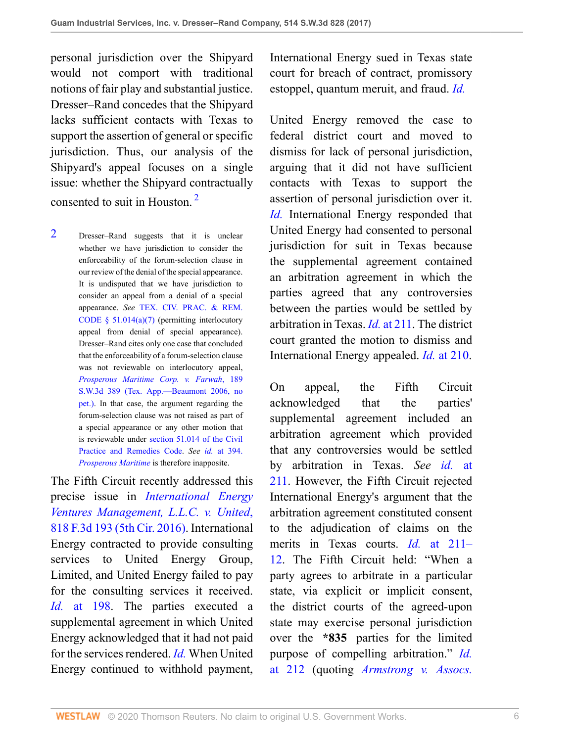personal jurisdiction over the Shipyard would not comport with traditional notions of fair play and substantial justice. Dresser–Rand concedes that the Shipyard lacks sufficient contacts with Texas to support the assertion of general or specific jurisdiction. Thus, our analysis of the Shipyard's appeal focuses on a single issue: whether the Shipyard contractually consented to suit in Houston. [2](#page-5-0)

<span id="page-5-0"></span>[2](#page-5-1) Dresser–Rand suggests that it is unclear whether we have jurisdiction to consider the enforceability of the forum-selection clause in our review of the denial of the special appearance. It is undisputed that we have jurisdiction to consider an appeal from a denial of a special appearance. *See* [TEX. CIV. PRAC. & REM.](http://www.westlaw.com/Link/Document/FullText?findType=L&pubNum=1000170&cite=TXCPS51.014&originatingDoc=I88106170dec411e6960ceb4fdef01e17&refType=SP&originationContext=document&vr=3.0&rs=cblt1.0&transitionType=DocumentItem&contextData=(sc.UserEnteredCitation)#co_pp_36f10000408d4) [CODE § 51.014\(a\)\(7\)](http://www.westlaw.com/Link/Document/FullText?findType=L&pubNum=1000170&cite=TXCPS51.014&originatingDoc=I88106170dec411e6960ceb4fdef01e17&refType=SP&originationContext=document&vr=3.0&rs=cblt1.0&transitionType=DocumentItem&contextData=(sc.UserEnteredCitation)#co_pp_36f10000408d4) (permitting interlocutory appeal from denial of special appearance). Dresser–Rand cites only one case that concluded that the enforceability of a forum-selection clause was not reviewable on interlocutory appeal, *[Prosperous Maritime Corp. v. Farwah](http://www.westlaw.com/Link/Document/FullText?findType=Y&serNum=2008798317&pubNum=0004644&originatingDoc=I88106170dec411e6960ceb4fdef01e17&refType=RP&originationContext=document&vr=3.0&rs=cblt1.0&transitionType=DocumentItem&contextData=(sc.UserEnteredCitation))*, 189 [S.W.3d 389 \(Tex. App.—Beaumont 2006, no](http://www.westlaw.com/Link/Document/FullText?findType=Y&serNum=2008798317&pubNum=0004644&originatingDoc=I88106170dec411e6960ceb4fdef01e17&refType=RP&originationContext=document&vr=3.0&rs=cblt1.0&transitionType=DocumentItem&contextData=(sc.UserEnteredCitation)) [pet.\)](http://www.westlaw.com/Link/Document/FullText?findType=Y&serNum=2008798317&pubNum=0004644&originatingDoc=I88106170dec411e6960ceb4fdef01e17&refType=RP&originationContext=document&vr=3.0&rs=cblt1.0&transitionType=DocumentItem&contextData=(sc.UserEnteredCitation)). In that case, the argument regarding the forum-selection clause was not raised as part of a special appearance or any other motion that is reviewable under [section 51.014 of the Civil](http://www.westlaw.com/Link/Document/FullText?findType=L&pubNum=1000170&cite=TXCPS51.014&originatingDoc=I88106170dec411e6960ceb4fdef01e17&refType=LQ&originationContext=document&vr=3.0&rs=cblt1.0&transitionType=DocumentItem&contextData=(sc.UserEnteredCitation)) [Practice and Remedies Code](http://www.westlaw.com/Link/Document/FullText?findType=L&pubNum=1000170&cite=TXCPS51.014&originatingDoc=I88106170dec411e6960ceb4fdef01e17&refType=LQ&originationContext=document&vr=3.0&rs=cblt1.0&transitionType=DocumentItem&contextData=(sc.UserEnteredCitation)). *See id.* [at 394.](http://www.westlaw.com/Link/Document/FullText?findType=Y&serNum=2008798317&pubNum=0004644&originatingDoc=I88106170dec411e6960ceb4fdef01e17&refType=RP&fi=co_pp_sp_4644_394&originationContext=document&vr=3.0&rs=cblt1.0&transitionType=DocumentItem&contextData=(sc.UserEnteredCitation)#co_pp_sp_4644_394) *[Prosperous Maritime](http://www.westlaw.com/Link/Document/FullText?findType=Y&serNum=2008798317&originatingDoc=I88106170dec411e6960ceb4fdef01e17&refType=RP&originationContext=document&vr=3.0&rs=cblt1.0&transitionType=DocumentItem&contextData=(sc.UserEnteredCitation))* is therefore inapposite.

The Fifth Circuit recently addressed this precise issue in *[International Energy](http://www.westlaw.com/Link/Document/FullText?findType=Y&serNum=2038594900&pubNum=0000506&originatingDoc=I88106170dec411e6960ceb4fdef01e17&refType=RP&originationContext=document&vr=3.0&rs=cblt1.0&transitionType=DocumentItem&contextData=(sc.UserEnteredCitation)) [Ventures Management, L.L.C. v. United](http://www.westlaw.com/Link/Document/FullText?findType=Y&serNum=2038594900&pubNum=0000506&originatingDoc=I88106170dec411e6960ceb4fdef01e17&refType=RP&originationContext=document&vr=3.0&rs=cblt1.0&transitionType=DocumentItem&contextData=(sc.UserEnteredCitation))*, [818 F.3d 193 \(5th Cir. 2016\).](http://www.westlaw.com/Link/Document/FullText?findType=Y&serNum=2038594900&pubNum=0000506&originatingDoc=I88106170dec411e6960ceb4fdef01e17&refType=RP&originationContext=document&vr=3.0&rs=cblt1.0&transitionType=DocumentItem&contextData=(sc.UserEnteredCitation)) International Energy contracted to provide consulting services to United Energy Group, Limited, and United Energy failed to pay for the consulting services it received. *Id.* [at 198.](http://www.westlaw.com/Link/Document/FullText?findType=Y&serNum=2038594900&pubNum=0000506&originatingDoc=I88106170dec411e6960ceb4fdef01e17&refType=RP&fi=co_pp_sp_506_198&originationContext=document&vr=3.0&rs=cblt1.0&transitionType=DocumentItem&contextData=(sc.UserEnteredCitation)#co_pp_sp_506_198) The parties executed a supplemental agreement in which United Energy acknowledged that it had not paid for the services rendered. *[Id.](http://www.westlaw.com/Link/Document/FullText?findType=Y&serNum=2038594900&pubNum=0000506&originatingDoc=I88106170dec411e6960ceb4fdef01e17&refType=RP&originationContext=document&vr=3.0&rs=cblt1.0&transitionType=DocumentItem&contextData=(sc.UserEnteredCitation))* When United Energy continued to withhold payment,

International Energy sued in Texas state court for breach of contract, promissory estoppel, quantum meruit, and fraud. *[Id.](http://www.westlaw.com/Link/Document/FullText?findType=Y&serNum=2038594900&pubNum=0000506&originatingDoc=I88106170dec411e6960ceb4fdef01e17&refType=RP&originationContext=document&vr=3.0&rs=cblt1.0&transitionType=DocumentItem&contextData=(sc.UserEnteredCitation))*

<span id="page-5-1"></span>United Energy removed the case to federal district court and moved to dismiss for lack of personal jurisdiction, arguing that it did not have sufficient contacts with Texas to support the assertion of personal jurisdiction over it. *[Id.](http://www.westlaw.com/Link/Document/FullText?findType=Y&serNum=2038594900&pubNum=0000506&originatingDoc=I88106170dec411e6960ceb4fdef01e17&refType=RP&originationContext=document&vr=3.0&rs=cblt1.0&transitionType=DocumentItem&contextData=(sc.UserEnteredCitation))* International Energy responded that United Energy had consented to personal jurisdiction for suit in Texas because the supplemental agreement contained an arbitration agreement in which the parties agreed that any controversies between the parties would be settled by arbitration in Texas. *Id.* [at 211.](http://www.westlaw.com/Link/Document/FullText?findType=Y&serNum=2038594900&pubNum=0000506&originatingDoc=I88106170dec411e6960ceb4fdef01e17&refType=RP&fi=co_pp_sp_506_211&originationContext=document&vr=3.0&rs=cblt1.0&transitionType=DocumentItem&contextData=(sc.UserEnteredCitation)#co_pp_sp_506_211) The district court granted the motion to dismiss and International Energy appealed. *Id.* [at 210](http://www.westlaw.com/Link/Document/FullText?findType=Y&serNum=2038594900&pubNum=0000506&originatingDoc=I88106170dec411e6960ceb4fdef01e17&refType=RP&fi=co_pp_sp_506_210&originationContext=document&vr=3.0&rs=cblt1.0&transitionType=DocumentItem&contextData=(sc.UserEnteredCitation)#co_pp_sp_506_210).

On appeal, the Fifth Circuit acknowledged that the parties' supplemental agreement included an arbitration agreement which provided that any controversies would be settled by arbitration in Texas. *See id.* [at](http://www.westlaw.com/Link/Document/FullText?findType=Y&serNum=2038594900&pubNum=0000506&originatingDoc=I88106170dec411e6960ceb4fdef01e17&refType=RP&fi=co_pp_sp_506_211&originationContext=document&vr=3.0&rs=cblt1.0&transitionType=DocumentItem&contextData=(sc.UserEnteredCitation)#co_pp_sp_506_211) [211](http://www.westlaw.com/Link/Document/FullText?findType=Y&serNum=2038594900&pubNum=0000506&originatingDoc=I88106170dec411e6960ceb4fdef01e17&refType=RP&fi=co_pp_sp_506_211&originationContext=document&vr=3.0&rs=cblt1.0&transitionType=DocumentItem&contextData=(sc.UserEnteredCitation)#co_pp_sp_506_211). However, the Fifth Circuit rejected International Energy's argument that the arbitration agreement constituted consent to the adjudication of claims on the merits in Texas courts. *Id.* [at 211–](http://www.westlaw.com/Link/Document/FullText?findType=Y&serNum=2038594900&pubNum=0000506&originatingDoc=I88106170dec411e6960ceb4fdef01e17&refType=RP&fi=co_pp_sp_506_211&originationContext=document&vr=3.0&rs=cblt1.0&transitionType=DocumentItem&contextData=(sc.UserEnteredCitation)#co_pp_sp_506_211) [12](http://www.westlaw.com/Link/Document/FullText?findType=Y&serNum=2038594900&pubNum=0000506&originatingDoc=I88106170dec411e6960ceb4fdef01e17&refType=RP&fi=co_pp_sp_506_211&originationContext=document&vr=3.0&rs=cblt1.0&transitionType=DocumentItem&contextData=(sc.UserEnteredCitation)#co_pp_sp_506_211). The Fifth Circuit held: "When a party agrees to arbitrate in a particular state, via explicit or implicit consent, the district courts of the agreed-upon state may exercise personal jurisdiction over the **\*835** parties for the limited purpose of compelling arbitration." *[Id.](http://www.westlaw.com/Link/Document/FullText?findType=Y&serNum=2038594900&pubNum=0000506&originatingDoc=I88106170dec411e6960ceb4fdef01e17&refType=RP&fi=co_pp_sp_506_212&originationContext=document&vr=3.0&rs=cblt1.0&transitionType=DocumentItem&contextData=(sc.UserEnteredCitation)#co_pp_sp_506_212)* [at 212](http://www.westlaw.com/Link/Document/FullText?findType=Y&serNum=2038594900&pubNum=0000506&originatingDoc=I88106170dec411e6960ceb4fdef01e17&refType=RP&fi=co_pp_sp_506_212&originationContext=document&vr=3.0&rs=cblt1.0&transitionType=DocumentItem&contextData=(sc.UserEnteredCitation)#co_pp_sp_506_212) (quoting *[Armstrong v. Assocs.](http://www.westlaw.com/Link/Document/FullText?findType=Y&serNum=2012772184&pubNum=0006538&originatingDoc=I88106170dec411e6960ceb4fdef01e17&refType=RP&fi=co_pp_sp_6538_957&originationContext=document&vr=3.0&rs=cblt1.0&transitionType=DocumentItem&contextData=(sc.UserEnteredCitation)#co_pp_sp_6538_957)*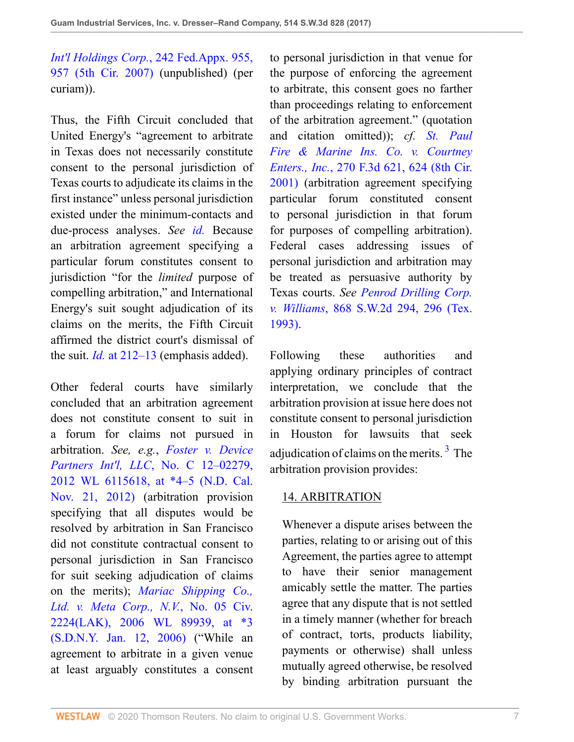*Int'l Holdings Corp.*[, 242 Fed.Appx. 955,](http://www.westlaw.com/Link/Document/FullText?findType=Y&serNum=2012772184&pubNum=0006538&originatingDoc=I88106170dec411e6960ceb4fdef01e17&refType=RP&fi=co_pp_sp_6538_957&originationContext=document&vr=3.0&rs=cblt1.0&transitionType=DocumentItem&contextData=(sc.UserEnteredCitation)#co_pp_sp_6538_957) [957 \(5th Cir. 2007\)](http://www.westlaw.com/Link/Document/FullText?findType=Y&serNum=2012772184&pubNum=0006538&originatingDoc=I88106170dec411e6960ceb4fdef01e17&refType=RP&fi=co_pp_sp_6538_957&originationContext=document&vr=3.0&rs=cblt1.0&transitionType=DocumentItem&contextData=(sc.UserEnteredCitation)#co_pp_sp_6538_957) (unpublished) (per curiam)).

Thus, the Fifth Circuit concluded that United Energy's "agreement to arbitrate in Texas does not necessarily constitute consent to the personal jurisdiction of Texas courts to adjudicate its claims in the first instance" unless personal jurisdiction existed under the minimum-contacts and due-process analyses. *See [id.](http://www.westlaw.com/Link/Document/FullText?findType=Y&serNum=2038594900&pubNum=0000506&originatingDoc=I88106170dec411e6960ceb4fdef01e17&refType=RP&originationContext=document&vr=3.0&rs=cblt1.0&transitionType=DocumentItem&contextData=(sc.UserEnteredCitation))* Because an arbitration agreement specifying a particular forum constitutes consent to jurisdiction "for the *limited* purpose of compelling arbitration," and International Energy's suit sought adjudication of its claims on the merits, the Fifth Circuit affirmed the district court's dismissal of the suit. *Id.* [at 212–13](http://www.westlaw.com/Link/Document/FullText?findType=Y&serNum=2038594900&pubNum=0000506&originatingDoc=I88106170dec411e6960ceb4fdef01e17&refType=RP&fi=co_pp_sp_506_212&originationContext=document&vr=3.0&rs=cblt1.0&transitionType=DocumentItem&contextData=(sc.UserEnteredCitation)#co_pp_sp_506_212) (emphasis added).

Other federal courts have similarly concluded that an arbitration agreement does not constitute consent to suit in a forum for claims not pursued in arbitration. *See, e.g.*, *[Foster v. Device](http://www.westlaw.com/Link/Document/FullText?findType=Y&serNum=2029387913&pubNum=0000999&originatingDoc=I88106170dec411e6960ceb4fdef01e17&refType=RP&originationContext=document&vr=3.0&rs=cblt1.0&transitionType=DocumentItem&contextData=(sc.UserEnteredCitation)) Partners Int'l, LLC*[, No. C 12–02279,](http://www.westlaw.com/Link/Document/FullText?findType=Y&serNum=2029387913&pubNum=0000999&originatingDoc=I88106170dec411e6960ceb4fdef01e17&refType=RP&originationContext=document&vr=3.0&rs=cblt1.0&transitionType=DocumentItem&contextData=(sc.UserEnteredCitation)) [2012 WL 6115618, at \\*4–5 \(N.D. Cal.](http://www.westlaw.com/Link/Document/FullText?findType=Y&serNum=2029387913&pubNum=0000999&originatingDoc=I88106170dec411e6960ceb4fdef01e17&refType=RP&originationContext=document&vr=3.0&rs=cblt1.0&transitionType=DocumentItem&contextData=(sc.UserEnteredCitation)) [Nov. 21, 2012\)](http://www.westlaw.com/Link/Document/FullText?findType=Y&serNum=2029387913&pubNum=0000999&originatingDoc=I88106170dec411e6960ceb4fdef01e17&refType=RP&originationContext=document&vr=3.0&rs=cblt1.0&transitionType=DocumentItem&contextData=(sc.UserEnteredCitation)) (arbitration provision specifying that all disputes would be resolved by arbitration in San Francisco did not constitute contractual consent to personal jurisdiction in San Francisco for suit seeking adjudication of claims on the merits); *[Mariac Shipping Co.,](http://www.westlaw.com/Link/Document/FullText?findType=Y&serNum=2008187015&pubNum=0000999&originatingDoc=I88106170dec411e6960ceb4fdef01e17&refType=RP&originationContext=document&vr=3.0&rs=cblt1.0&transitionType=DocumentItem&contextData=(sc.UserEnteredCitation)) [Ltd. v. Meta Corp., N.V.](http://www.westlaw.com/Link/Document/FullText?findType=Y&serNum=2008187015&pubNum=0000999&originatingDoc=I88106170dec411e6960ceb4fdef01e17&refType=RP&originationContext=document&vr=3.0&rs=cblt1.0&transitionType=DocumentItem&contextData=(sc.UserEnteredCitation))*, No. 05 Civ. [2224\(LAK\), 2006 WL 89939, at \\*3](http://www.westlaw.com/Link/Document/FullText?findType=Y&serNum=2008187015&pubNum=0000999&originatingDoc=I88106170dec411e6960ceb4fdef01e17&refType=RP&originationContext=document&vr=3.0&rs=cblt1.0&transitionType=DocumentItem&contextData=(sc.UserEnteredCitation)) [\(S.D.N.Y. Jan. 12, 2006\)](http://www.westlaw.com/Link/Document/FullText?findType=Y&serNum=2008187015&pubNum=0000999&originatingDoc=I88106170dec411e6960ceb4fdef01e17&refType=RP&originationContext=document&vr=3.0&rs=cblt1.0&transitionType=DocumentItem&contextData=(sc.UserEnteredCitation)) ("While an agreement to arbitrate in a given venue at least arguably constitutes a consent

to personal jurisdiction in that venue for the purpose of enforcing the agreement to arbitrate, this consent goes no farther than proceedings relating to enforcement of the arbitration agreement." (quotation and citation omitted)); *cf. [St. Paul](http://www.westlaw.com/Link/Document/FullText?findType=Y&serNum=2001899088&pubNum=0000506&originatingDoc=I88106170dec411e6960ceb4fdef01e17&refType=RP&fi=co_pp_sp_506_624&originationContext=document&vr=3.0&rs=cblt1.0&transitionType=DocumentItem&contextData=(sc.UserEnteredCitation)#co_pp_sp_506_624) [Fire & Marine Ins. Co. v. Courtney](http://www.westlaw.com/Link/Document/FullText?findType=Y&serNum=2001899088&pubNum=0000506&originatingDoc=I88106170dec411e6960ceb4fdef01e17&refType=RP&fi=co_pp_sp_506_624&originationContext=document&vr=3.0&rs=cblt1.0&transitionType=DocumentItem&contextData=(sc.UserEnteredCitation)#co_pp_sp_506_624) Enters., Inc.*[, 270 F.3d 621, 624 \(8th Cir.](http://www.westlaw.com/Link/Document/FullText?findType=Y&serNum=2001899088&pubNum=0000506&originatingDoc=I88106170dec411e6960ceb4fdef01e17&refType=RP&fi=co_pp_sp_506_624&originationContext=document&vr=3.0&rs=cblt1.0&transitionType=DocumentItem&contextData=(sc.UserEnteredCitation)#co_pp_sp_506_624) [2001\)](http://www.westlaw.com/Link/Document/FullText?findType=Y&serNum=2001899088&pubNum=0000506&originatingDoc=I88106170dec411e6960ceb4fdef01e17&refType=RP&fi=co_pp_sp_506_624&originationContext=document&vr=3.0&rs=cblt1.0&transitionType=DocumentItem&contextData=(sc.UserEnteredCitation)#co_pp_sp_506_624) (arbitration agreement specifying particular forum constituted consent to personal jurisdiction in that forum for purposes of compelling arbitration). Federal cases addressing issues of personal jurisdiction and arbitration may be treated as persuasive authority by Texas courts. *See [Penrod Drilling Corp.](http://www.westlaw.com/Link/Document/FullText?findType=Y&serNum=1993124548&pubNum=0000713&originatingDoc=I88106170dec411e6960ceb4fdef01e17&refType=RP&fi=co_pp_sp_713_296&originationContext=document&vr=3.0&rs=cblt1.0&transitionType=DocumentItem&contextData=(sc.UserEnteredCitation)#co_pp_sp_713_296) v. Williams*[, 868 S.W.2d 294, 296 \(Tex.](http://www.westlaw.com/Link/Document/FullText?findType=Y&serNum=1993124548&pubNum=0000713&originatingDoc=I88106170dec411e6960ceb4fdef01e17&refType=RP&fi=co_pp_sp_713_296&originationContext=document&vr=3.0&rs=cblt1.0&transitionType=DocumentItem&contextData=(sc.UserEnteredCitation)#co_pp_sp_713_296) [1993\)](http://www.westlaw.com/Link/Document/FullText?findType=Y&serNum=1993124548&pubNum=0000713&originatingDoc=I88106170dec411e6960ceb4fdef01e17&refType=RP&fi=co_pp_sp_713_296&originationContext=document&vr=3.0&rs=cblt1.0&transitionType=DocumentItem&contextData=(sc.UserEnteredCitation)#co_pp_sp_713_296).

Following these authorities and applying ordinary principles of contract interpretation, we conclude that the arbitration provision at issue here does not constitute consent to personal jurisdiction in Houston for lawsuits that seek adjudication of claims on the merits.<sup>[3](#page-7-0)</sup> The arbitration provision provides:

## <span id="page-6-0"></span>14. ARBITRATION

Whenever a dispute arises between the parties, relating to or arising out of this Agreement, the parties agree to attempt to have their senior management amicably settle the matter. The parties agree that any dispute that is not settled in a timely manner (whether for breach of contract, torts, products liability, payments or otherwise) shall unless mutually agreed otherwise, be resolved by binding arbitration pursuant the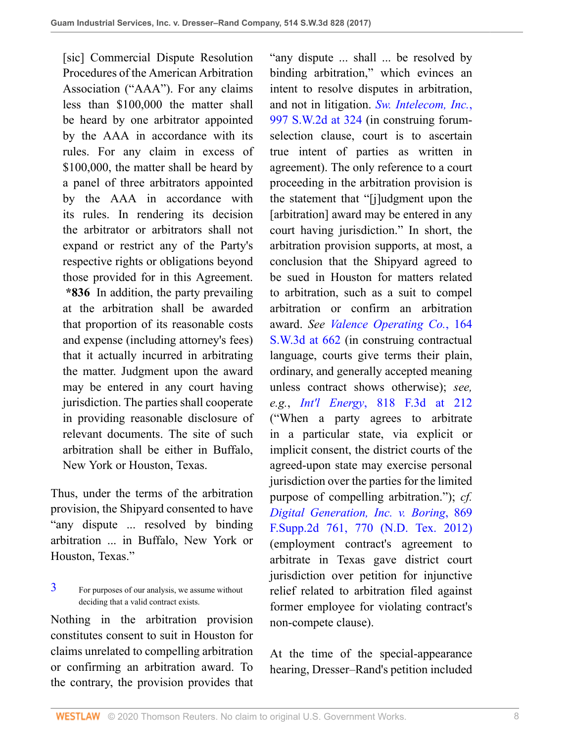[sic] Commercial Dispute Resolution Procedures of the American Arbitration Association ("AAA"). For any claims less than \$100,000 the matter shall be heard by one arbitrator appointed by the AAA in accordance with its rules. For any claim in excess of \$100,000, the matter shall be heard by a panel of three arbitrators appointed by the AAA in accordance with its rules. In rendering its decision the arbitrator or arbitrators shall not expand or restrict any of the Party's respective rights or obligations beyond those provided for in this Agreement. **\*836** In addition, the party prevailing at the arbitration shall be awarded that proportion of its reasonable costs and expense (including attorney's fees) that it actually incurred in arbitrating the matter. Judgment upon the award may be entered in any court having jurisdiction. The parties shall cooperate in providing reasonable disclosure of relevant documents. The site of such arbitration shall be either in Buffalo, New York or Houston, Texas.

Thus, under the terms of the arbitration provision, the Shipyard consented to have "any dispute ... resolved by binding arbitration ... in Buffalo, New York or Houston, Texas."

<span id="page-7-0"></span>[3](#page-6-0) For purposes of our analysis, we assume without deciding that a valid contract exists.

Nothing in the arbitration provision constitutes consent to suit in Houston for claims unrelated to compelling arbitration or confirming an arbitration award. To the contrary, the provision provides that

"any dispute ... shall ... be resolved by binding arbitration," which evinces an intent to resolve disputes in arbitration, and not in litigation. *[Sw. Intelecom, Inc.](http://www.westlaw.com/Link/Document/FullText?findType=Y&serNum=1999165322&pubNum=0000713&originatingDoc=I88106170dec411e6960ceb4fdef01e17&refType=RP&fi=co_pp_sp_713_324&originationContext=document&vr=3.0&rs=cblt1.0&transitionType=DocumentItem&contextData=(sc.UserEnteredCitation)#co_pp_sp_713_324)*, [997 S.W.2d at 324](http://www.westlaw.com/Link/Document/FullText?findType=Y&serNum=1999165322&pubNum=0000713&originatingDoc=I88106170dec411e6960ceb4fdef01e17&refType=RP&fi=co_pp_sp_713_324&originationContext=document&vr=3.0&rs=cblt1.0&transitionType=DocumentItem&contextData=(sc.UserEnteredCitation)#co_pp_sp_713_324) (in construing forumselection clause, court is to ascertain true intent of parties as written in agreement). The only reference to a court proceeding in the arbitration provision is the statement that "[j]udgment upon the [arbitration] award may be entered in any court having jurisdiction." In short, the arbitration provision supports, at most, a conclusion that the Shipyard agreed to be sued in Houston for matters related to arbitration, such as a suit to compel arbitration or confirm an arbitration award. *See [Valence Operating Co.](http://www.westlaw.com/Link/Document/FullText?findType=Y&serNum=2006635472&pubNum=0004644&originatingDoc=I88106170dec411e6960ceb4fdef01e17&refType=RP&fi=co_pp_sp_4644_662&originationContext=document&vr=3.0&rs=cblt1.0&transitionType=DocumentItem&contextData=(sc.UserEnteredCitation)#co_pp_sp_4644_662)*, 164 [S.W.3d at 662](http://www.westlaw.com/Link/Document/FullText?findType=Y&serNum=2006635472&pubNum=0004644&originatingDoc=I88106170dec411e6960ceb4fdef01e17&refType=RP&fi=co_pp_sp_4644_662&originationContext=document&vr=3.0&rs=cblt1.0&transitionType=DocumentItem&contextData=(sc.UserEnteredCitation)#co_pp_sp_4644_662) (in construing contractual language, courts give terms their plain, ordinary, and generally accepted meaning unless contract shows otherwise); *see, e.g.*, *Int'l Energy*[, 818 F.3d at 212](http://www.westlaw.com/Link/Document/FullText?findType=Y&serNum=2038594900&pubNum=0000506&originatingDoc=I88106170dec411e6960ceb4fdef01e17&refType=RP&fi=co_pp_sp_506_212&originationContext=document&vr=3.0&rs=cblt1.0&transitionType=DocumentItem&contextData=(sc.UserEnteredCitation)#co_pp_sp_506_212) ("When a party agrees to arbitrate in a particular state, via explicit or implicit consent, the district courts of the agreed-upon state may exercise personal jurisdiction over the parties for the limited purpose of compelling arbitration."); *cf. [Digital Generation, Inc. v. Boring](http://www.westlaw.com/Link/Document/FullText?findType=Y&serNum=2027560950&pubNum=0004637&originatingDoc=I88106170dec411e6960ceb4fdef01e17&refType=RP&fi=co_pp_sp_4637_770&originationContext=document&vr=3.0&rs=cblt1.0&transitionType=DocumentItem&contextData=(sc.UserEnteredCitation)#co_pp_sp_4637_770)*, 869 [F.Supp.2d 761, 770 \(N.D. Tex. 2012\)](http://www.westlaw.com/Link/Document/FullText?findType=Y&serNum=2027560950&pubNum=0004637&originatingDoc=I88106170dec411e6960ceb4fdef01e17&refType=RP&fi=co_pp_sp_4637_770&originationContext=document&vr=3.0&rs=cblt1.0&transitionType=DocumentItem&contextData=(sc.UserEnteredCitation)#co_pp_sp_4637_770) (employment contract's agreement to arbitrate in Texas gave district court jurisdiction over petition for injunctive relief related to arbitration filed against former employee for violating contract's non-compete clause).

At the time of the special-appearance hearing, Dresser–Rand's petition included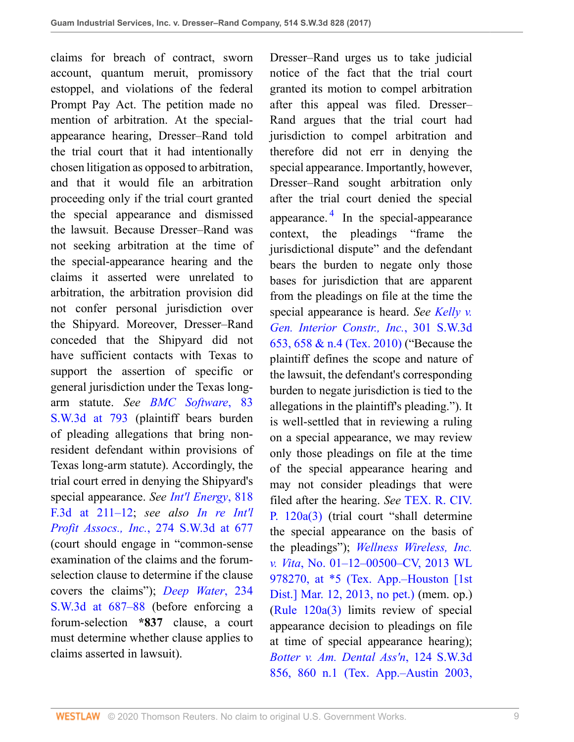claims for breach of contract, sworn account, quantum meruit, promissory estoppel, and violations of the federal Prompt Pay Act. The petition made no mention of arbitration. At the specialappearance hearing, Dresser–Rand told the trial court that it had intentionally chosen litigation as opposed to arbitration, and that it would file an arbitration proceeding only if the trial court granted the special appearance and dismissed the lawsuit. Because Dresser–Rand was not seeking arbitration at the time of the special-appearance hearing and the claims it asserted were unrelated to arbitration, the arbitration provision did not confer personal jurisdiction over the Shipyard. Moreover, Dresser–Rand conceded that the Shipyard did not have sufficient contacts with Texas to support the assertion of specific or general jurisdiction under the Texas longarm statute. *See [BMC Software](http://www.westlaw.com/Link/Document/FullText?findType=Y&serNum=2002399399&pubNum=0004644&originatingDoc=I88106170dec411e6960ceb4fdef01e17&refType=RP&fi=co_pp_sp_4644_793&originationContext=document&vr=3.0&rs=cblt1.0&transitionType=DocumentItem&contextData=(sc.UserEnteredCitation)#co_pp_sp_4644_793)*, 83 [S.W.3d at 793](http://www.westlaw.com/Link/Document/FullText?findType=Y&serNum=2002399399&pubNum=0004644&originatingDoc=I88106170dec411e6960ceb4fdef01e17&refType=RP&fi=co_pp_sp_4644_793&originationContext=document&vr=3.0&rs=cblt1.0&transitionType=DocumentItem&contextData=(sc.UserEnteredCitation)#co_pp_sp_4644_793) (plaintiff bears burden of pleading allegations that bring nonresident defendant within provisions of Texas long-arm statute). Accordingly, the trial court erred in denying the Shipyard's special appearance. *See Int'l [Energy](http://www.westlaw.com/Link/Document/FullText?findType=Y&serNum=2038594900&pubNum=0000506&originatingDoc=I88106170dec411e6960ceb4fdef01e17&refType=RP&fi=co_pp_sp_506_211&originationContext=document&vr=3.0&rs=cblt1.0&transitionType=DocumentItem&contextData=(sc.UserEnteredCitation)#co_pp_sp_506_211)*, 818 [F.3d at 211–12;](http://www.westlaw.com/Link/Document/FullText?findType=Y&serNum=2038594900&pubNum=0000506&originatingDoc=I88106170dec411e6960ceb4fdef01e17&refType=RP&fi=co_pp_sp_506_211&originationContext=document&vr=3.0&rs=cblt1.0&transitionType=DocumentItem&contextData=(sc.UserEnteredCitation)#co_pp_sp_506_211) *see also [In re](http://www.westlaw.com/Link/Document/FullText?findType=Y&serNum=2017853544&pubNum=0004644&originatingDoc=I88106170dec411e6960ceb4fdef01e17&refType=RP&fi=co_pp_sp_4644_677&originationContext=document&vr=3.0&rs=cblt1.0&transitionType=DocumentItem&contextData=(sc.UserEnteredCitation)#co_pp_sp_4644_677) Int'l Profit Assocs., Inc.*[, 274 S.W.3d at 677](http://www.westlaw.com/Link/Document/FullText?findType=Y&serNum=2017853544&pubNum=0004644&originatingDoc=I88106170dec411e6960ceb4fdef01e17&refType=RP&fi=co_pp_sp_4644_677&originationContext=document&vr=3.0&rs=cblt1.0&transitionType=DocumentItem&contextData=(sc.UserEnteredCitation)#co_pp_sp_4644_677) (court should engage in "common-sense examination of the claims and the forumselection clause to determine if the clause covers the claims"); *[Deep Water](http://www.westlaw.com/Link/Document/FullText?findType=Y&serNum=2012504409&pubNum=0004644&originatingDoc=I88106170dec411e6960ceb4fdef01e17&refType=RP&fi=co_pp_sp_4644_687&originationContext=document&vr=3.0&rs=cblt1.0&transitionType=DocumentItem&contextData=(sc.UserEnteredCitation)#co_pp_sp_4644_687)*, 234 [S.W.3d at 687–88](http://www.westlaw.com/Link/Document/FullText?findType=Y&serNum=2012504409&pubNum=0004644&originatingDoc=I88106170dec411e6960ceb4fdef01e17&refType=RP&fi=co_pp_sp_4644_687&originationContext=document&vr=3.0&rs=cblt1.0&transitionType=DocumentItem&contextData=(sc.UserEnteredCitation)#co_pp_sp_4644_687) (before enforcing a forum-selection **\*837** clause, a court must determine whether clause applies to claims asserted in lawsuit).

<span id="page-8-0"></span>Dresser–Rand urges us to take judicial notice of the fact that the trial court granted its motion to compel arbitration after this appeal was filed. Dresser– Rand argues that the trial court had jurisdiction to compel arbitration and therefore did not err in denying the special appearance. Importantly, however, Dresser–Rand sought arbitration only after the trial court denied the special appearance.<sup>[4](#page-9-0)</sup> In the special-appearance context, the pleadings "frame the jurisdictional dispute" and the defendant bears the burden to negate only those bases for jurisdiction that are apparent from the pleadings on file at the time the special appearance is heard. *See [Kelly v.](http://www.westlaw.com/Link/Document/FullText?findType=Y&serNum=2021140213&pubNum=0004644&originatingDoc=I88106170dec411e6960ceb4fdef01e17&refType=RP&fi=co_pp_sp_4644_658&originationContext=document&vr=3.0&rs=cblt1.0&transitionType=DocumentItem&contextData=(sc.UserEnteredCitation)#co_pp_sp_4644_658) [Gen. Interior Constr., Inc.](http://www.westlaw.com/Link/Document/FullText?findType=Y&serNum=2021140213&pubNum=0004644&originatingDoc=I88106170dec411e6960ceb4fdef01e17&refType=RP&fi=co_pp_sp_4644_658&originationContext=document&vr=3.0&rs=cblt1.0&transitionType=DocumentItem&contextData=(sc.UserEnteredCitation)#co_pp_sp_4644_658)*, 301 S.W.3d [653, 658 & n.4 \(Tex. 2010\)](http://www.westlaw.com/Link/Document/FullText?findType=Y&serNum=2021140213&pubNum=0004644&originatingDoc=I88106170dec411e6960ceb4fdef01e17&refType=RP&fi=co_pp_sp_4644_658&originationContext=document&vr=3.0&rs=cblt1.0&transitionType=DocumentItem&contextData=(sc.UserEnteredCitation)#co_pp_sp_4644_658) ("Because the plaintiff defines the scope and nature of the lawsuit, the defendant's corresponding burden to negate jurisdiction is tied to the allegations in the plaintiff's pleading."). It is well-settled that in reviewing a ruling on a special appearance, we may review only those pleadings on file at the time of the special appearance hearing and may not consider pleadings that were filed after the hearing. *See* [TEX. R. CIV.](http://www.westlaw.com/Link/Document/FullText?findType=L&pubNum=1003817&cite=TXRRCPR120A&originatingDoc=I88106170dec411e6960ceb4fdef01e17&refType=LQ&originationContext=document&vr=3.0&rs=cblt1.0&transitionType=DocumentItem&contextData=(sc.UserEnteredCitation)) [P. 120a\(3\)](http://www.westlaw.com/Link/Document/FullText?findType=L&pubNum=1003817&cite=TXRRCPR120A&originatingDoc=I88106170dec411e6960ceb4fdef01e17&refType=LQ&originationContext=document&vr=3.0&rs=cblt1.0&transitionType=DocumentItem&contextData=(sc.UserEnteredCitation)) (trial court "shall determine the special appearance on the basis of the pleadings"); *[Wellness Wireless, Inc.](http://www.westlaw.com/Link/Document/FullText?findType=Y&serNum=2030132879&pubNum=0000999&originatingDoc=I88106170dec411e6960ceb4fdef01e17&refType=RP&originationContext=document&vr=3.0&rs=cblt1.0&transitionType=DocumentItem&contextData=(sc.UserEnteredCitation)) v. Vita*[, No. 01–12–00500–CV, 2013 WL](http://www.westlaw.com/Link/Document/FullText?findType=Y&serNum=2030132879&pubNum=0000999&originatingDoc=I88106170dec411e6960ceb4fdef01e17&refType=RP&originationContext=document&vr=3.0&rs=cblt1.0&transitionType=DocumentItem&contextData=(sc.UserEnteredCitation)) [978270, at \\*5 \(Tex. App.–Houston \[1st](http://www.westlaw.com/Link/Document/FullText?findType=Y&serNum=2030132879&pubNum=0000999&originatingDoc=I88106170dec411e6960ceb4fdef01e17&refType=RP&originationContext=document&vr=3.0&rs=cblt1.0&transitionType=DocumentItem&contextData=(sc.UserEnteredCitation)) [Dist.\] Mar. 12, 2013, no pet.\)](http://www.westlaw.com/Link/Document/FullText?findType=Y&serNum=2030132879&pubNum=0000999&originatingDoc=I88106170dec411e6960ceb4fdef01e17&refType=RP&originationContext=document&vr=3.0&rs=cblt1.0&transitionType=DocumentItem&contextData=(sc.UserEnteredCitation)) (mem. op.) [\(Rule 120a\(3\)](http://www.westlaw.com/Link/Document/FullText?findType=L&pubNum=1003817&cite=TXRRCPR120A&originatingDoc=I88106170dec411e6960ceb4fdef01e17&refType=LQ&originationContext=document&vr=3.0&rs=cblt1.0&transitionType=DocumentItem&contextData=(sc.UserEnteredCitation)) limits review of special appearance decision to pleadings on file at time of special appearance hearing); *[Botter v. Am. Dental Ass'n](http://www.westlaw.com/Link/Document/FullText?findType=Y&serNum=2003929150&pubNum=0004644&originatingDoc=I88106170dec411e6960ceb4fdef01e17&refType=RP&fi=co_pp_sp_4644_860&originationContext=document&vr=3.0&rs=cblt1.0&transitionType=DocumentItem&contextData=(sc.UserEnteredCitation)#co_pp_sp_4644_860)*, 124 S.W.3d [856, 860 n.1 \(Tex. App.–Austin 2003,](http://www.westlaw.com/Link/Document/FullText?findType=Y&serNum=2003929150&pubNum=0004644&originatingDoc=I88106170dec411e6960ceb4fdef01e17&refType=RP&fi=co_pp_sp_4644_860&originationContext=document&vr=3.0&rs=cblt1.0&transitionType=DocumentItem&contextData=(sc.UserEnteredCitation)#co_pp_sp_4644_860)